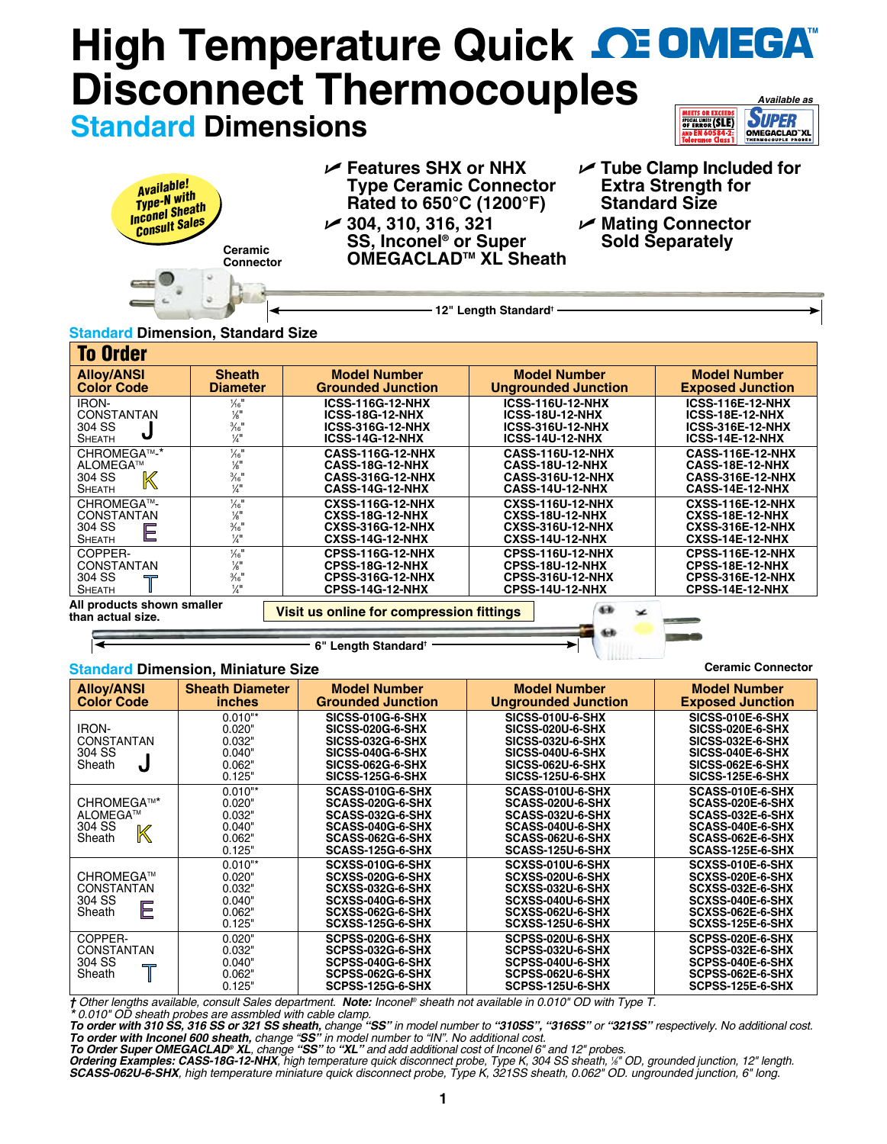### **HighTemperature Quick <b>DE OMEGA Disconnect Thermocouples** *Available as* **MEETS OR EXCEEDS**<br>SPECIAL LIMITS (SLE) **SUPER Standard Dimensions** OMEGACLAD"XL

| Available!<br>Type-N with<br>Inconel Sheath<br>Consult Sales<br>Ceramic<br>Connector | $\mathcal{V}$ Features SHX or NHX<br><b>Type Ceramic Connector</b><br>Rated to 650°C (1200°F)<br>$\swarrow$ 304, 310, 316, 321<br>SS, Inconel <sup>®</sup> or Super<br>OMEGACLAD <sup>™</sup> XL Sheath | $\sqrt{ }$ Tube Clamp Included for<br><b>Extra Strength for</b><br><b>Standard Size</b><br><b>∕ Mating Connector</b><br><b>Sold Separately</b> |
|--------------------------------------------------------------------------------------|---------------------------------------------------------------------------------------------------------------------------------------------------------------------------------------------------------|------------------------------------------------------------------------------------------------------------------------------------------------|
|                                                                                      | 12" Length Standard <sup>+</sup>                                                                                                                                                                        |                                                                                                                                                |

### **Standard Dimension, Standard Size**

| <b>To Order</b>                                                   |                                                                                                             |                                                                                                        |                                                                                                        |                                                                                                        |
|-------------------------------------------------------------------|-------------------------------------------------------------------------------------------------------------|--------------------------------------------------------------------------------------------------------|--------------------------------------------------------------------------------------------------------|--------------------------------------------------------------------------------------------------------|
| <b>Alloy/ANSI</b><br><b>Color Code</b>                            | <b>Sheath</b><br><b>Diameter</b>                                                                            | <b>Model Number</b><br><b>Grounded Junction</b>                                                        | <b>Model Number</b><br><b>Ungrounded Junction</b>                                                      | <b>Model Number</b><br><b>Exposed Junction</b>                                                         |
| <b>IRON-</b><br><b>CONSTANTAN</b><br>304 SS<br><b>SHEATH</b>      | $\frac{1}{16}$ "<br>$\frac{1}{8}$ <sup>11</sup><br>$\frac{3}{16}$ <sup>11</sup><br>$\frac{1}{4}$            | <b>ICSS-116G-12-NHX</b><br><b>ICSS-18G-12-NHX</b><br><b>ICSS-316G-12-NHX</b><br><b>ICSS-14G-12-NHX</b> | <b>ICSS-116U-12-NHX</b><br><b>ICSS-18U-12-NHX</b><br><b>ICSS-316U-12-NHX</b><br><b>ICSS-14U-12-NHX</b> | <b>ICSS-116E-12-NHX</b><br>ICSS-18E-12-NHX<br><b>ICSS-316E-12-NHX</b><br><b>ICSS-14E-12-NHX</b>        |
| CHROMEGA™-*<br>ALOMEGA™<br>$\mathbb K$<br>304 SS<br><b>SHEATH</b> | $\frac{1}{6}$ <sup>11</sup><br>$\frac{1}{8}$ <sup>11</sup><br>$\frac{3}{16}$ <sup>11</sup><br>$\frac{1}{4}$ | <b>CASS-116G-12-NHX</b><br><b>CASS-18G-12-NHX</b><br><b>CASS-316G-12-NHX</b><br><b>CASS-14G-12-NHX</b> | <b>CASS-116U-12-NHX</b><br><b>CASS-18U-12-NHX</b><br><b>CASS-316U-12-NHX</b><br><b>CASS-14U-12-NHX</b> | <b>CASS-116E-12-NHX</b><br>CASS-18E-12-NHX<br><b>CASS-316E-12-NHX</b><br>CASS-14E-12-NHX               |
| CHROMEGA™-<br><b>CONSTANTAN</b><br>304 SS<br>Ε<br><b>SHEATH</b>   | $\frac{1}{6}$ <sup>11</sup><br>$\frac{1}{8}$<br>$\frac{3}{16}$ "<br>$\frac{1}{4}$                           | <b>CXSS-116G-12-NHX</b><br><b>CXSS-18G-12-NHX</b><br><b>CXSS-316G-12-NHX</b><br><b>CXSS-14G-12-NHX</b> | <b>CXSS-116U-12-NHX</b><br><b>CXSS-18U-12-NHX</b><br><b>CXSS-316U-12-NHX</b><br><b>CXSS-14U-12-NHX</b> | <b>CXSS-116E-12-NHX</b><br><b>CXSS-18E-12-NHX</b><br><b>CXSS-316E-12-NHX</b><br><b>CXSS-14E-12-NHX</b> |
| COPPER-<br><b>CONSTANTAN</b><br>304 SS<br><b>SHEATH</b>           | $\frac{1}{6}$ <sup>11</sup><br>$\frac{1}{8}$ <sup>11</sup><br>$\frac{3}{16}$ <sup>11</sup><br>$\frac{1}{4}$ | <b>CPSS-116G-12-NHX</b><br><b>CPSS-18G-12-NHX</b><br><b>CPSS-316G-12-NHX</b><br><b>CPSS-14G-12-NHX</b> | <b>CPSS-116U-12-NHX</b><br><b>CPSS-18U-12-NHX</b><br><b>CPSS-316U-12-NHX</b><br><b>CPSS-14U-12-NHX</b> | <b>CPSS-116E-12-NHX</b><br>CPSS-18E-12-NHX<br><b>CPSS-316E-12-NHX</b><br><b>CPSS-14E-12-NHX</b>        |
| All products shown smaller<br>than actual size.                   |                                                                                                             | Visit us online for compression fittings                                                               | œ<br>z                                                                                                 |                                                                                                        |

**6" Length Standard†**

#### **Standard Dimension, Miniature Size**

| <b>Alloy/ANSI</b><br><b>Color Code</b>                                       | <b>Sheath Diameter</b><br><i>inches</i>                     | <b>Model Number</b><br><b>Grounded Junction</b>                                                                                                  | <b>Model Number</b><br><b>Ungrounded Junction</b>                                                                                                | <b>Model Number</b><br><b>Exposed Junction</b>                                                                                            |
|------------------------------------------------------------------------------|-------------------------------------------------------------|--------------------------------------------------------------------------------------------------------------------------------------------------|--------------------------------------------------------------------------------------------------------------------------------------------------|-------------------------------------------------------------------------------------------------------------------------------------------|
| <b>IRON-</b><br>CONSTANTAN<br>304 SS<br>Sheath<br>J                          | $0.010**$<br>0.020"<br>0.032"<br>0.040"<br>0.062"<br>0.125" | <b>SICSS-010G-6-SHX</b><br><b>SICSS-020G-6-SHX</b><br><b>SICSS-032G-6-SHX</b><br>SICSS-040G-6-SHX<br>SICSS-062G-6-SHX<br><b>SICSS-125G-6-SHX</b> | <b>SICSS-010U-6-SHX</b><br><b>SICSS-020U-6-SHX</b><br><b>SICSS-032U-6-SHX</b><br>SICSS-040U-6-SHX<br>SICSS-062U-6-SHX<br><b>SICSS-125U-6-SHX</b> | <b>SICSS-010E-6-SHX</b><br>SICSS-020E-6-SHX<br><b>SICSS-032E-6-SHX</b><br>SICSS-040E-6-SHX<br>SICSS-062E-6-SHX<br><b>SICSS-125E-6-SHX</b> |
| CHROMEGA™*<br>ALOMEGA™<br>304 SS<br>K<br>Sheath                              | $0.010**$<br>0.020"<br>0.032"<br>0.040"<br>0.062"<br>0.125" | SCASS-010G-6-SHX<br>SCASS-020G-6-SHX<br>SCASS-032G-6-SHX<br>SCASS-040G-6-SHX<br>SCASS-062G-6-SHX<br>SCASS-125G-6-SHX                             | SCASS-010U-6-SHX<br>SCASS-020U-6-SHX<br>SCASS-032U-6-SHX<br>SCASS-040U-6-SHX<br>SCASS-062U-6-SHX<br>SCASS-125U-6-SHX                             | SCASS-010E-6-SHX<br>SCASS-020E-6-SHX<br>SCASS-032E-6-SHX<br>SCASS-040E-6-SHX<br>SCASS-062E-6-SHX<br>SCASS-125E-6-SHX                      |
| CHROMEGA™<br><b>CONSTANTAN</b><br>304 SS<br>E<br>Sheath                      | $0.010**$<br>0.020"<br>0.032"<br>0.040"<br>0.062"<br>0.125" | <b>SCXSS-010G-6-SHX</b><br>SCXSS-020G-6-SHX<br>SCXSS-032G-6-SHX<br>SCXSS-040G-6-SHX<br>SCXSS-062G-6-SHX<br>SCXSS-125G-6-SHX                      | SCXSS-010U-6-SHX<br>SCXSS-020U-6-SHX<br>SCXSS-032U-6-SHX<br>SCXSS-040U-6-SHX<br>SCXSS-062U-6-SHX<br>SCXSS-125U-6-SHX                             | SCXSS-010E-6-SHX<br>SCXSS-020E-6-SHX<br>SCXSS-032E-6-SHX<br>SCXSS-040E-6-SHX<br>SCXSS-062E-6-SHX<br>SCXSS-125E-6-SHX                      |
| COPPER-<br><b>CONSTANTAN</b><br>304 SS<br>$\overline{\phantom{a}}$<br>Sheath | 0.020"<br>0.032"<br>0.040"<br>0.062"<br>0.125"              | SCPSS-020G-6-SHX<br>SCPSS-032G-6-SHX<br>SCPSS-040G-6-SHX<br>SCPSS-062G-6-SHX<br>SCPSS-125G-6-SHX                                                 | SCPSS-020U-6-SHX<br>SCPSS-032U-6-SHX<br>SCPSS-040U-6-SHX<br>SCPSS-062U-6-SHX<br>SCPSS-125U-6-SHX                                                 | SCPSS-020E-6-SHX<br>SCPSS-032E-6-SHX<br>SCPSS-040E-6-SHX<br>SCPSS-062E-6-SHX<br>SCPSS-125E-6-SHX                                          |

**Ceramic Connector**

**Allia** 

*† Other lengths available, consult Sales department. Note: Inconel® sheath not available in 0.010" OD with Type T.*

\*0.010" OD sheath probes are assmbled with cable clamp.<br>To order with 310 SS, 316 SS or 321 SS sheath, change "SS" in model number to "310SS", "316SS" or "321SS" respectively. No additional cost.

To order with Inconel 600 sheath, change "SS" in model number to "IN". No additional cost.<br>To Order Super OMEGACLAD® XL, change "SS" to "XL" and add additional cost of Inconel 6" and 12" probes.<br>Ordering Examples: CASS-18G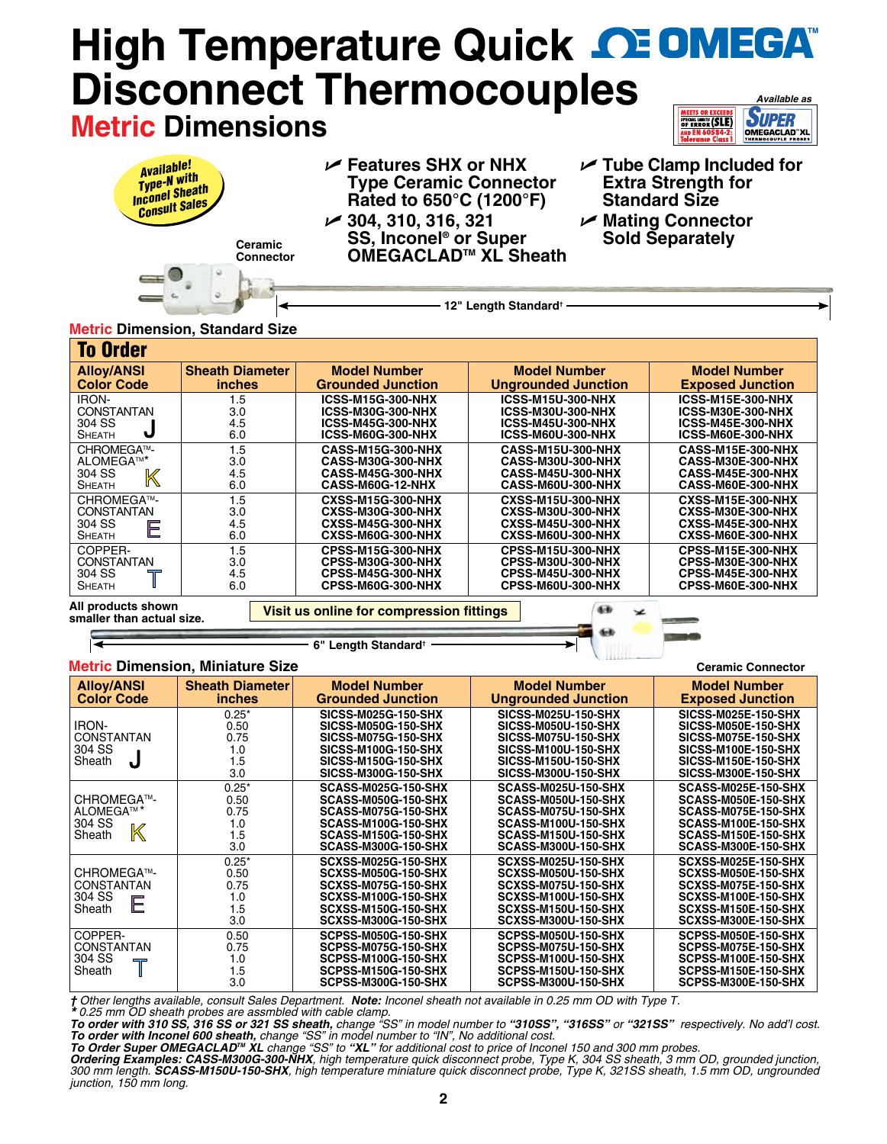# **High Temperature Quick CE OMEGA® Disconnect Thermocouples** *Available as* **SUPER Metric Dimensions SPECIAL LIMITS (SLE)**

| <b>Available!</b><br>Available:<br>Type-N with<br>Inconel Sheath<br>Consult Sales<br>Ceramic<br><b>Connector</b> | $\mathcal{V}$ Features SHX or NHX<br><b>Type Ceramic Connector</b><br>Rated to 650°C (1200°F)<br>$\swarrow$ 304, 310, 316, 321<br><b>SS, Inconel<sup>®</sup> or Super</b><br>OMEGACLAD <sup>™</sup> XL Sheath | $\sqrt{ }$ Tube Clamp Included for<br><b>Extra Strength for</b><br><b>Standard Size</b><br>$\nu$ Mating Connector<br><b>Sold Separately</b> |
|------------------------------------------------------------------------------------------------------------------|---------------------------------------------------------------------------------------------------------------------------------------------------------------------------------------------------------------|---------------------------------------------------------------------------------------------------------------------------------------------|
| <u>.</u>                                                                                                         | 12" Length Standard <sup>+</sup>                                                                                                                                                                              |                                                                                                                                             |

# **Metric Dimension, Standard Size**

| <b>To Order</b>                                                   |                                         |                                                                                                       |                                                                                                       |                                                                                                       |
|-------------------------------------------------------------------|-----------------------------------------|-------------------------------------------------------------------------------------------------------|-------------------------------------------------------------------------------------------------------|-------------------------------------------------------------------------------------------------------|
| <b>Alloy/ANSI</b><br><b>Color Code</b>                            | <b>Sheath Diameter</b><br><i>inches</i> | <b>Model Number</b><br><b>Grounded Junction</b>                                                       | <b>Model Number</b><br><b>Ungrounded Junction</b>                                                     | <b>Model Number</b><br><b>Exposed Junction</b>                                                        |
| <b>IRON-</b><br><b>CONSTANTAN</b><br>304 SS<br>J<br><b>SHEATH</b> | 1.5<br>3.0<br>4.5<br>6.0                | <b>ICSS-M15G-300-NHX</b><br><b>ICSS-M30G-300-NHX</b><br><b>ICSS-M45G-300-NHX</b><br>ICSS-M60G-300-NHX | <b>ICSS-M15U-300-NHX</b><br><b>ICSS-M30U-300-NHX</b><br><b>ICSS-M45U-300-NHX</b><br>ICSS-M60U-300-NHX | <b>ICSS-M15E-300-NHX</b><br><b>ICSS-M30E-300-NHX</b><br><b>ICSS-M45E-300-NHX</b><br>ICSS-M60E-300-NHX |
| CHROMEGA™-<br>ALOMEGA™*<br>304 SS<br>K<br><b>SHEATH</b>           | 1.5<br>3.0<br>4.5<br>6.0                | <b>CASS-M15G-300-NHX</b><br><b>CASS-M30G-300-NHX</b><br>CASS-M45G-300-NHX<br>CASS-M60G-12-NHX         | <b>CASS-M15U-300-NHX</b><br><b>CASS-M30U-300-NHX</b><br><b>CASS-M45U-300-NHX</b><br>CASS-M60U-300-NHX | <b>CASS-M15E-300-NHX</b><br><b>CASS-M30E-300-NHX</b><br>CASS-M45E-300-NHX<br>CASS-M60E-300-NHX        |
| CHROMEGA™-<br><b>CONSTANTAN</b><br>304 SS<br>Е<br><b>SHEATH</b>   | 1.5<br>3.0<br>4.5<br>6.0                | <b>CXSS-M15G-300-NHX</b><br><b>CXSS-M30G-300-NHX</b><br>CXSS-M45G-300-NHX<br>CXSS-M60G-300-NHX        | <b>CXSS-M15U-300-NHX</b><br><b>CXSS-M30U-300-NHX</b><br><b>CXSS-M45U-300-NHX</b><br>CXSS-M60U-300-NHX | <b>CXSS-M15E-300-NHX</b><br><b>CXSS-M30E-300-NHX</b><br>CXSS-M45E-300-NHX<br>CXSS-M60E-300-NHX        |
| COPPER-<br><b>CONSTANTAN</b><br>304 SS<br><b>SHEATH</b>           | 1.5<br>3.0<br>4.5<br>6.0                | <b>CPSS-M15G-300-NHX</b><br><b>CPSS-M30G-300-NHX</b><br>CPSS-M45G-300-NHX<br><b>CPSS-M60G-300-NHX</b> | <b>CPSS-M15U-300-NHX</b><br><b>CPSS-M30U-300-NHX</b><br><b>CPSS-M45U-300-NHX</b><br>CPSS-M60U-300-NHX | CPSS-M15E-300-NHX<br>CPSS-M30E-300-NHX<br>CPSS-M45E-300-NHX<br>CPSS-M60E-300-NHX                      |
| All products shown<br>smaller than actual size.                   |                                         | Visit us online for compression fittings                                                              | œ                                                                                                     | --                                                                                                    |

#### **6" Length Standard†**

## **Metric Dimension, Miniature Size**

| <b>Metric Dimension, Miniature Size</b>                      | <b>Ceramic Connector</b>                     |                                                                                                                                                                                  |                                                                                                                                                                                  |                                                                                                                                                                           |
|--------------------------------------------------------------|----------------------------------------------|----------------------------------------------------------------------------------------------------------------------------------------------------------------------------------|----------------------------------------------------------------------------------------------------------------------------------------------------------------------------------|---------------------------------------------------------------------------------------------------------------------------------------------------------------------------|
| <b>Alloy/ANSI</b><br><b>Color Code</b>                       | <b>Sheath Diameter</b><br><i>inches</i>      | <b>Model Number</b><br><b>Grounded Junction</b>                                                                                                                                  | <b>Model Number</b><br><b>Ungrounded Junction</b>                                                                                                                                | <b>Model Number</b><br><b>Exposed Junction</b>                                                                                                                            |
| IRON-<br><b>CONSTANTAN</b><br>304 SS<br>J<br>Sheath          | $0.25*$<br>0.50<br>0.75<br>1.0<br>1.5<br>3.0 | <b>SICSS-M025G-150-SHX</b><br><b>SICSS-M050G-150-SHX</b><br><b>SICSS-M075G-150-SHX</b><br><b>SICSS-M100G-150-SHX</b><br><b>SICSS-M150G-150-SHX</b><br><b>SICSS-M300G-150-SHX</b> | <b>SICSS-M025U-150-SHX</b><br><b>SICSS-M050U-150-SHX</b><br><b>SICSS-M075U-150-SHX</b><br><b>SICSS-M100U-150-SHX</b><br><b>SICSS-M150U-150-SHX</b><br><b>SICSS-M300U-150-SHX</b> | <b>SICSS-M025E-150-SHX</b><br><b>SICSS-M050E-150-SHX</b><br><b>SICSS-M075E-150-SHX</b><br>SICSS-M100E-150-SHX<br><b>SICSS-M150E-150-SHX</b><br><b>SICSS-M300E-150-SHX</b> |
| CHROMEGA™-<br>ALOMEGA™ <sup>*</sup><br>304 SS<br>K<br>Sheath | $0.25*$<br>0.50<br>0.75<br>1.0<br>1.5<br>3.0 | <b>SCASS-M025G-150-SHX</b><br><b>SCASS-M050G-150-SHX</b><br>SCASS-M075G-150-SHX<br><b>SCASS-M100G-150-SHX</b><br>SCASS-M150G-150-SHX<br><b>SCASS-M300G-150-SHX</b>               | <b>SCASS-M025U-150-SHX</b><br>SCASS-M050U-150-SHX<br>SCASS-M075U-150-SHX<br>SCASS-M100U-150-SHX<br>SCASS-M150U-150-SHX<br><b>SCASS-M300U-150-SHX</b>                             | SCASS-M025E-150-SHX<br>SCASS-M050E-150-SHX<br>SCASS-M075E-150-SHX<br>SCASS-M100E-150-SHX<br>SCASS-M150E-150-SHX<br>SCASS-M300E-150-SHX                                    |
| CHROMEGA™-<br><b>CONSTANTAN</b><br>304 SS<br>E<br>Sheath     | $0.25*$<br>0.50<br>0.75<br>1.0<br>1.5<br>3.0 | <b>SCXSS-M025G-150-SHX</b><br><b>SCXSS-M050G-150-SHX</b><br>SCXSS-M075G-150-SHX<br>SCXSS-M100G-150-SHX<br><b>SCXSS-M150G-150-SHX</b><br><b>SCXSS-M300G-150-SHX</b>               | SCXSS-M025U-150-SHX<br><b>SCXSS-M050U-150-SHX</b><br>SCXSS-M075U-150-SHX<br>SCXSS-M100U-150-SHX<br>SCXSS-M150U-150-SHX<br>SCXSS-M300U-150-SHX                                    | SCXSS-M025E-150-SHX<br>SCXSS-M050E-150-SHX<br>SCXSS-M075E-150-SHX<br>SCXSS-M100E-150-SHX<br><b>SCXSS-M150E-150-SHX</b><br>SCXSS-M300E-150-SHX                             |
| COPPER-<br><b>CONSTANTAN</b><br>304 SS<br>╦<br>Sheath        | 0.50<br>0.75<br>1.0<br>1.5<br>3.0            | SCPSS-M050G-150-SHX<br><b>SCPSS-M075G-150-SHX</b><br>SCPSS-M100G-150-SHX<br><b>SCPSS-M150G-150-SHX</b><br>SCPSS-M300G-150-SHX                                                    | SCPSS-M050U-150-SHX<br>SCPSS-M075U-150-SHX<br>SCPSS-M100U-150-SHX<br>SCPSS-M150U-150-SHX<br><b>SCPSS-M300U-150-SHX</b>                                                           | SCPSS-M050E-150-SHX<br>SCPSS-M075E-150-SHX<br>SCPSS-M100E-150-SHX<br>SCPSS-M150E-150-SHX<br>SCPSS-M300E-150-SHX                                                           |

*† Other lengths available, consult Sales Department. Note: Inconel sheath not available in 0.25 mm OD with Type T. \* 0.25 mm OD sheath probes are assmbled with cable clamp.*

*To order with 310 SS, 316 SS or 321 SS sheath, change "SS" in model number to "310SS", "316SS" or "321SS" respectively. No add'l cost.*  To order with Inconel 600 sheath, change "SS" in model number to "IN", No additional cost.<br>To Order Super OMEGACLAD™ XL change "SS" to "XL" for additional cost to price of Inconel 150 and 300 mm probes.

*Ordering Examples: CASS-M300G-300-NHX, high temperature quick disconnect probe, Type K, 304 SS sheath, 3 mm OD, grounded junction, 300 mm length. SCASS-M150U-150-SHX, high temperature miniature quick disconnect probe, Type K, 321SS sheath, 1.5 mm OD, ungrounded junction, 150 mm long.*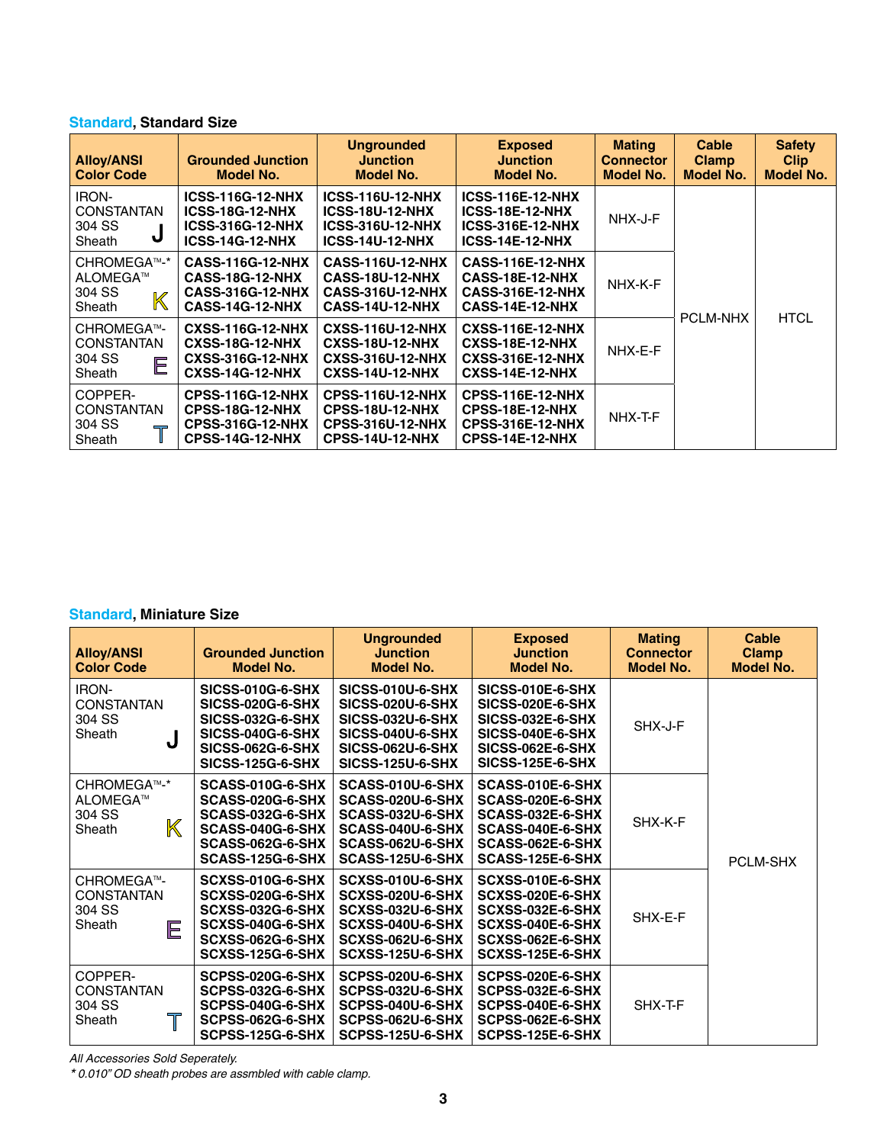# **Standard, Standard Size**

| <b>Alloy/ANSI</b><br><b>Color Code</b>                                | <b>Grounded Junction</b><br>Model No.                                                                  | <b>Ungrounded</b><br><b>Junction</b><br>Model No.                                                      | <b>Exposed</b><br><b>Junction</b><br><b>Model No.</b>                                                  | <b>Mating</b><br><b>Connector</b><br>Model No. | Cable<br><b>Clamp</b><br><b>Model No.</b> | <b>Safety</b><br><b>Clip</b><br>Model No. |
|-----------------------------------------------------------------------|--------------------------------------------------------------------------------------------------------|--------------------------------------------------------------------------------------------------------|--------------------------------------------------------------------------------------------------------|------------------------------------------------|-------------------------------------------|-------------------------------------------|
| iron-<br><b>CONSTANTAN</b><br>304 SS<br>J<br>Sheath                   | <b>ICSS-116G-12-NHX</b><br><b>ICSS-18G-12-NHX</b><br><b>ICSS-316G-12-NHX</b><br><b>ICSS-14G-12-NHX</b> | <b>ICSS-116U-12-NHX</b><br><b>ICSS-18U-12-NHX</b><br><b>ICSS-316U-12-NHX</b><br><b>ICSS-14U-12-NHX</b> | <b>ICSS-116E-12-NHX</b><br><b>ICSS-18E-12-NHX</b><br><b>ICSS-316E-12-NHX</b><br><b>ICSS-14E-12-NHX</b> | NHX-J-F                                        |                                           |                                           |
| CHROMEGA™-*<br>ALOMEGA™<br>304 SS<br>$\mathbb K$<br>Sheath            | <b>CASS-116G-12-NHX</b><br><b>CASS-18G-12-NHX</b><br><b>CASS-316G-12-NHX</b><br><b>CASS-14G-12-NHX</b> | <b>CASS-116U-12-NHX</b><br><b>CASS-18U-12-NHX</b><br><b>CASS-316U-12-NHX</b><br>CASS-14U-12-NHX        | <b>CASS-116E-12-NHX</b><br>CASS-18E-12-NHX<br><b>CASS-316E-12-NHX</b><br>CASS-14E-12-NHX               | NHX-K-F                                        |                                           |                                           |
| CHROMEGA™-<br><b>CONSTANTAN</b><br>304 SS<br>E<br>Sheath              | <b>CXSS-116G-12-NHX</b><br><b>CXSS-18G-12-NHX</b><br><b>CXSS-316G-12-NHX</b><br><b>CXSS-14G-12-NHX</b> | <b>CXSS-116U-12-NHX</b><br><b>CXSS-18U-12-NHX</b><br><b>CXSS-316U-12-NHX</b><br><b>CXSS-14U-12-NHX</b> | <b>CXSS-116E-12-NHX</b><br><b>CXSS-18E-12-NHX</b><br><b>CXSS-316E-12-NHX</b><br><b>CXSS-14E-12-NHX</b> | NHX-E-F                                        | <b>PCLM-NHX</b>                           | <b>HTCL</b>                               |
| COPPER-<br>CONSTANTAN<br>304 SS<br>$\overline{\phantom{a}}$<br>Sheath | <b>CPSS-116G-12-NHX</b><br><b>CPSS-18G-12-NHX</b><br><b>CPSS-316G-12-NHX</b><br><b>CPSS-14G-12-NHX</b> | <b>CPSS-116U-12-NHX</b><br><b>CPSS-18U-12-NHX</b><br><b>CPSS-316U-12-NHX</b><br><b>CPSS-14U-12-NHX</b> | <b>CPSS-116E-12-NHX</b><br>CPSS-18E-12-NHX<br><b>CPSS-316E-12-NHX</b><br>CPSS-14E-12-NHX               | NHX-T-F                                        |                                           |                                           |

## **Standard, Miniature Size**

| <b>Alloy/ANSI</b><br><b>Color Code</b>                     | <b>Grounded Junction</b><br><b>Model No.</b>                                                                                                            | <b>Ungrounded</b><br><b>Junction</b><br><b>Model No.</b>                                                                                                | <b>Exposed</b><br><b>Junction</b><br><b>Model No.</b>                                                                                     | <b>Mating</b><br><b>Connector</b><br><b>Model No.</b> | Cable<br><b>Clamp</b><br><b>Model No.</b> |
|------------------------------------------------------------|---------------------------------------------------------------------------------------------------------------------------------------------------------|---------------------------------------------------------------------------------------------------------------------------------------------------------|-------------------------------------------------------------------------------------------------------------------------------------------|-------------------------------------------------------|-------------------------------------------|
| IRON-<br><b>CONSTANTAN</b><br>304 SS<br>Sheath<br>ل        | <b>SICSS-010G-6-SHX</b><br><b>SICSS-020G-6-SHX</b><br><b>SICSS-032G-6-SHX</b><br>SICSS-040G-6-SHX<br><b>SICSS-062G-6-SHX</b><br><b>SICSS-125G-6-SHX</b> | <b>SICSS-010U-6-SHX</b><br><b>SICSS-020U-6-SHX</b><br><b>SICSS-032U-6-SHX</b><br>SICSS-040U-6-SHX<br><b>SICSS-062U-6-SHX</b><br><b>SICSS-125U-6-SHX</b> | SICSS-010E-6-SHX<br><b>SICSS-020E-6-SHX</b><br><b>SICSS-032E-6-SHX</b><br>SICSS-040E-6-SHX<br>SICSS-062E-6-SHX<br><b>SICSS-125E-6-SHX</b> | SHX-J-F                                               |                                           |
| CHROMEGA™-*<br>ALOMEGA™<br>304 SS<br>$\mathbb K$<br>Sheath | SCASS-010G-6-SHX<br>SCASS-020G-6-SHX<br>SCASS-032G-6-SHX<br>SCASS-040G-6-SHX<br>SCASS-062G-6-SHX<br>SCASS-125G-6-SHX                                    | SCASS-010U-6-SHX<br>SCASS-020U-6-SHX<br>SCASS-032U-6-SHX<br>SCASS-040U-6-SHX<br>SCASS-062U-6-SHX<br>SCASS-125U-6-SHX                                    | SCASS-010E-6-SHX<br>SCASS-020E-6-SHX<br>SCASS-032E-6-SHX<br>SCASS-040E-6-SHX<br>SCASS-062E-6-SHX<br>SCASS-125E-6-SHX                      | SHX-K-F                                               | PCLM-SHX                                  |
| CHROMEGA™-<br><b>CONSTANTAN</b><br>304 SS<br>Sheath<br>E   | SCXSS-010G-6-SHX<br>SCXSS-020G-6-SHX<br>SCXSS-032G-6-SHX<br>SCXSS-040G-6-SHX<br>SCXSS-062G-6-SHX<br>SCXSS-125G-6-SHX                                    | SCXSS-010U-6-SHX<br>SCXSS-020U-6-SHX<br>SCXSS-032U-6-SHX<br>SCXSS-040U-6-SHX<br>SCXSS-062U-6-SHX<br>SCXSS-125U-6-SHX                                    | SCXSS-010E-6-SHX<br>SCXSS-020E-6-SHX<br>SCXSS-032E-6-SHX<br>SCXSS-040E-6-SHX<br>SCXSS-062E-6-SHX<br>SCXSS-125E-6-SHX                      | SHX-E-F                                               |                                           |
| COPPER-<br><b>CONSTANTAN</b><br>304 SS<br>Τ<br>Sheath      | SCPSS-020G-6-SHX<br>SCPSS-032G-6-SHX<br>SCPSS-040G-6-SHX<br>SCPSS-062G-6-SHX<br>SCPSS-125G-6-SHX                                                        | SCPSS-020U-6-SHX<br>SCPSS-032U-6-SHX<br>SCPSS-040U-6-SHX<br>SCPSS-062U-6-SHX<br>SCPSS-125U-6-SHX                                                        | SCPSS-020E-6-SHX<br>SCPSS-032E-6-SHX<br>SCPSS-040E-6-SHX<br>SCPSS-062E-6-SHX<br>SCPSS-125E-6-SHX                                          | SHX-T-F                                               |                                           |

*All Accessories Sold Seperately.*

*\* 0.010" OD sheath probes are assmbled with cable clamp.*